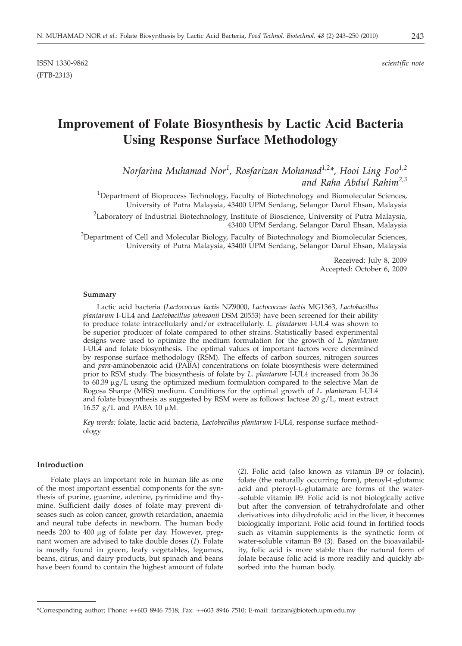# **Improvement of Folate Biosynthesis by Lactic Acid Bacteria Using Response Surface Methodology**

*Norfarina Muhamad Nor<sup>1</sup> , Rosfarizan Mohamad1,2\*, Hooi Ling Foo1,2 and Raha Abdul Rahim2,3*

<sup>1</sup>Department of Bioprocess Technology, Faculty of Biotechnology and Biomolecular Sciences, University of Putra Malaysia, 43400 UPM Serdang, Selangor Darul Ehsan, Malaysia

<sup>2</sup>Laboratory of Industrial Biotechnology, Institute of Bioscience, University of Putra Malaysia, 43400 UPM Serdang, Selangor Darul Ehsan, Malaysia

<sup>3</sup>Department of Cell and Molecular Biology, Faculty of Biotechnology and Biomolecular Sciences, University of Putra Malaysia, 43400 UPM Serdang, Selangor Darul Ehsan, Malaysia

> Received: July 8, 2009 Accepted: October 6, 2009

#### **Summary**

Lactic acid bacteria (*Lactococcus lactis* NZ9000, *Lactococcus lactis* MG1363, *Lactobacillus plantarum* I-UL4 and *Lactobacillus johnsonii* DSM 20553) have been screened for their ability to produce folate intracellularly and/or extracellularly. *L. plantarum* I-UL4 was shown to be superior producer of folate compared to other strains. Statistically based experimental designs were used to optimize the medium formulation for the growth of *L. plantarum* I-UL4 and folate biosynthesis. The optimal values of important factors were determined by response surface methodology (RSM). The effects of carbon sources, nitrogen sources and *para*-aminobenzoic acid (PABA) concentrations on folate biosynthesis were determined prior to RSM study. The biosynthesis of folate by *L. plantarum* I-UL4 increased from 36.36 to  $60.39 \mu g/L$  using the optimized medium formulation compared to the selective Man de Rogosa Sharpe (MRS) medium. Conditions for the optimal growth of *L. plantarum* I-UL4 and folate biosynthesis as suggested by RSM were as follows: lactose 20  $g/L$ , meat extract 16.57  $g/L$  and PABA 10  $\mu$ M.

*Key words:* folate, lactic acid bacteria, *Lactobacillus plantarum* I-UL4, response surface methodology

#### **Introduction**

Folate plays an important role in human life as one of the most important essential components for the synthesis of purine, guanine, adenine, pyrimidine and thymine. Sufficient daily doses of folate may prevent diseases such as colon cancer, growth retardation, anaemia and neural tube defects in newborn. The human body needs 200 to 400 µg of folate per day. However, pregnant women are advised to take double doses (*1*). Folate is mostly found in green, leafy vegetables, legumes, beans, citrus, and dairy products, but spinach and beans have been found to contain the highest amount of folate

(*2*). Folic acid (also known as vitamin B9 or folacin), folate (the naturally occurring form), pteroyl-L-glutamic acid and pteroyl-L-glutamate are forms of the water- -soluble vitamin B9. Folic acid is not biologically active but after the conversion of tetrahydrofolate and other derivatives into dihydrofolic acid in the liver, it becomes biologically important. Folic acid found in fortified foods such as vitamin supplements is the synthetic form of water-soluble vitamin B9 (*3*). Based on the bioavailability, folic acid is more stable than the natural form of folate because folic acid is more readily and quickly absorbed into the human body.

<sup>\*</sup>Corresponding author; Phone: ++603 8946 7518; Fax: ++603 8946 7510; E-mail: farizan@biotech.upm.edu.my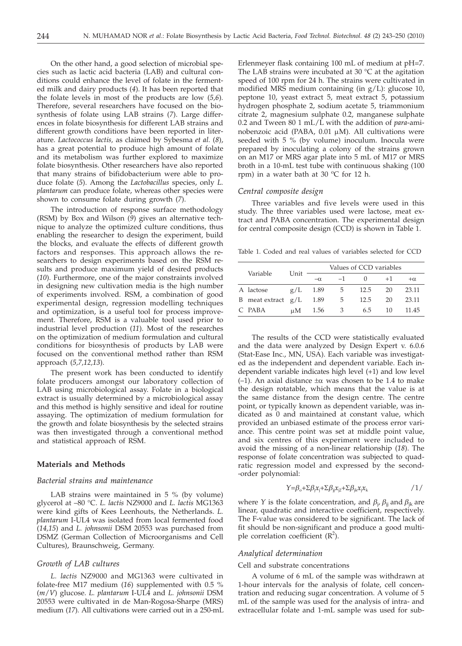On the other hand, a good selection of microbial species such as lactic acid bacteria (LAB) and cultural conditions could enhance the level of folate in the fermented milk and dairy products (*4*). It has been reported that the folate levels in most of the products are low (*5,6*)*.* Therefore, several researchers have focused on the biosynthesis of folate using LAB strains (*7*). Large differences in folate biosynthesis for different LAB strains and different growth conditions have been reported in literature. *Lactococcus lactis,* as claimed by Sybesma *et al.* (*8*), has a great potential to produce high amount of folate and its metabolism was further explored to maximize folate biosynthesis. Other researchers have also reported that many strains of bifidobacterium were able to produce folate (*5*). Among the *Lactobacillus* species, only *L. plantarum* can produce folate, whereas other species were shown to consume folate during growth (*7*).

The introduction of response surface methodology (RSM) by Box and Wilson (*9*) gives an alternative technique to analyze the optimized culture conditions, thus enabling the researcher to design the experiment, build the blocks, and evaluate the effects of different growth factors and responses. This approach allows the researchers to design experiments based on the RSM results and produce maximum yield of desired products (*10*). Furthermore, one of the major constraints involved in designing new cultivation media is the high number of experiments involved. RSM, a combination of good experimental design, regression modelling techniques and optimization, is a useful tool for process improvement. Therefore, RSM is a valuable tool used prior to industrial level production (*11*). Most of the researches on the optimization of medium formulation and cultural conditions for biosynthesis of products by LAB were focused on the conventional method rather than RSM approach (*5,7,12,13*).

The present work has been conducted to identify folate producers amongst our laboratory collection of LAB using microbiological assay. Folate in a biological extract is usually determined by a microbiological assay and this method is highly sensitive and ideal for routine assaying. The optimization of medium formulation for the growth and folate biosynthesis by the selected strains was then investigated through a conventional method and statistical approach of RSM.

#### **Materials and Methods**

#### *Bacterial strains and maintenance*

LAB strains were maintained in 5 % (by volume) glycerol at –80 °C. *L. lactis* NZ9000 and *L. lactis* MG1363 were kind gifts of Kees Leenhouts, the Netherlands. *L. plantarum* I-UL4 was isolated from local fermented food (*14,15*) and *L. johnsonii* DSM 20553 was purchased from DSMZ (German Collection of Microorganisms and Cell Cultures), Braunschweig, Germany.

#### *Growth of LAB cultures*

*L. lactis* NZ9000 and MG1363 were cultivated in folate-free M17 medium (*16*) supplemented with 0.5 % (*m*/*V*) glucose. *L. plantarum* I-UL4 and *L. johnsonii* DSM 20553 were cultivated in de Man-Rogosa-Sharpe (MRS) medium (*17*). All cultivations were carried out in a 250-mL

Erlenmeyer flask containing 100 mL of medium at pH=7. The LAB strains were incubated at 30  $\degree$ C at the agitation speed of 100 rpm for 24 h. The strains were cultivated in modified MRS medium containing (in g/L): glucose 10, peptone 10, yeast extract 5, meat extract 5, potassium hydrogen phosphate 2, sodium acetate 5, triammonium citrate 2, magnesium sulphate 0.2, manganese sulphate 0.2 and Tween 80 1 mL/L with the addition of *para*-aminobenzoic acid (PABA,  $0.01 \mu M$ ). All cultivations were seeded with 5 % (by volume) inoculum. Inocula were prepared by inoculating a colony of the strains grown on an M17 or MRS agar plate into 5 mL of M17 or MRS broth in a 10-mL test tube with continuous shaking (100 rpm) in a water bath at 30 °C for 12 h.

# *Central composite design*

Three variables and five levels were used in this study. The three variables used were lactose, meat extract and PABA concentration. The experimental design for central composite design (CCD) is shown in Table 1.

Table 1. Coded and real values of variables selected for CCD

|   |                    |      | Values of CCD variables |      |      |      |           |  |  |
|---|--------------------|------|-------------------------|------|------|------|-----------|--|--|
|   | Variable           | Unit | $-\alpha$               | $-1$ |      | $+1$ | $+\alpha$ |  |  |
|   | A lactose          | g/L  | 1.89                    | 5    | 12.5 | 20   | 23.11     |  |  |
| B | meat extract $g/L$ |      | 1.89                    | 5    | 12.5 | 20   | 23.11     |  |  |
|   | C PABA             | иM   | 1.56                    | 3    | 6.5  | 10   | 11.45     |  |  |

The results of the CCD were statistically evaluated and the data were analyzed by Design Expert v. 6.0.6 (Stat-Ease Inc., MN, USA). Each variable was investigated as the independent and dependent variable. Each independent variable indicates high level (+1) and low level (-1). An axial distance  $\pm \alpha$  was chosen to be 1.4 to make the design rotatable, which means that the value is at the same distance from the design centre. The centre point, or typically known as dependent variable, was indicated as 0 and maintained at constant value, which provided an unbiased estimate of the process error variance. This centre point was set at middle point value, and six centres of this experiment were included to avoid the missing of a non-linear relationship (*18*). The response of folate concentration was subjected to quadratic regression model and expressed by the second- -order polynomial:

$$
\gamma = \beta_{\circ} + \Sigma \beta_{j} x_{j} + \Sigma \beta_{ji} x_{j2} + \Sigma \beta_{jk} x_{j} x_{k}
$$

where *Y* is the folate concentration, and  $\beta_j$ ,  $\beta_{jj}$  and  $\beta_{jk}$  are linear quadratic and interactive coefficient respectively linear, quadratic and interactive coefficient, respectively. The F-value was considered to be significant. The lack of fit should be non-significant and produce a good multiple correlation coefficient  $(R^2)$ .

# *Analytical determination*

#### Cell and substrate concentrations

A volume of 6 mL of the sample was withdrawn at 1-hour intervals for the analysis of folate, cell concentration and reducing sugar concentration. A volume of 5 mL of the sample was used for the analysis of intra- and extracellular folate and 1-mL sample was used for sub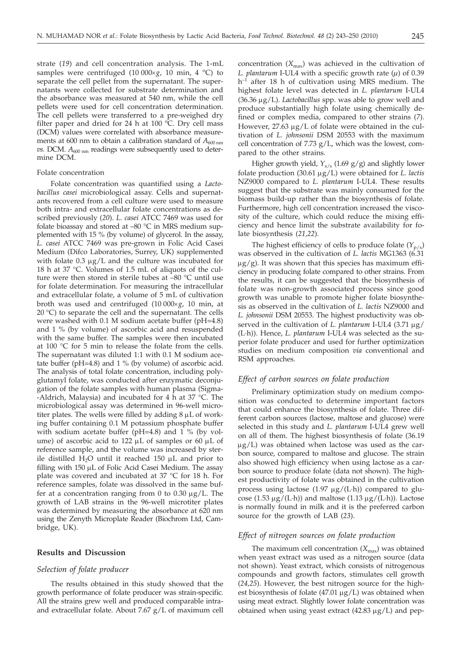strate (*19*) and cell concentration analysis. The 1-mL samples were centrifuged  $(10000 \times g, 10 \text{ min}, 4 \text{ }^{\circ}\text{C})$  to separate the cell pellet from the supernatant. The supernatants were collected for substrate determination and the absorbance was measured at 540 nm, while the cell pellets were used for cell concentration determination. The cell pellets were transferred to a pre-weighed dry filter paper and dried for 24 h at 100  $^{\circ}$ C. Dry cell mass (DCM) values were correlated with absorbance measurements at 600 nm to obtain a calibration standard of  $A_{600 \text{ nm}}$  $v$ s. DCM.  $A_{600 \text{ nm}}$  readings were subsequently used to determine DCM.

# Folate concentration

Folate concentration was quantified using a *Lactobacillus casei* microbiological assay. Cells and supernatants recovered from a cell culture were used to measure both intra- and extracellular folate concentrations as described previously (*20*). *L. casei* ATCC 7469 was used for folate bioassay and stored at –80 °C in MRS medium supplemented with 15 % (by volume) of glycerol. In the assay, *L. casei* ATCC 7469 was pre-grown in Folic Acid Casei Medium (Difco Laboratories, Surrey, UK) supplemented with folate  $0.3 \mu g/L$  and the culture was incubated for 18 h at 37 °C. Volumes of 1.5 mL of aliquots of the culture were then stored in sterile tubes at –80 °C until use for folate determination. For measuring the intracellular and extracellular folate, a volume of 5 mL of cultivation broth was used and centrifuged  $(10000 \times g, 10 \text{ min}, \text{at})$  $20 °C$ ) to separate the cell and the supernatant. The cells were washed with 0.1 M sodium acetate buffer (pH=4.8) and 1 % (by volume) of ascorbic acid and resuspended with the same buffer. The samples were then incubated at 100 °C for 5 min to release the folate from the cells. The supernatant was diluted 1:1 with 0.1 M sodium acetate buffer (pH=4.8) and 1 % (by volume) of ascorbic acid. The analysis of total folate concentration, including polyglutamyl folate, was conducted after enzymatic deconjugation of the folate samples with human plasma (Sigma- -Aldrich, Malaysia) and incubated for 4  $\overline{h}$  at 37 °C. The microbiological assay was determined in 96-well microtiter plates. The wells were filled by adding  $8 \mu L$  of working buffer containing 0.1 M potassium phosphate buffer with sodium acetate buffer (pH=4.8) and 1 % (by volume) of ascorbic acid to  $122 \mu L$  of samples or 60  $\mu L$  of reference sample, and the volume was increased by sterile distilled  $H_2O$  until it reached 150  $\mu$ L and prior to filling with  $150 \mu L$  of Folic Acid Casei Medium. The assay plate was covered and incubated at 37 °C for 18 h. For reference samples, folate was dissolved in the same buffer at a concentration ranging from 0 to  $0.30 \mu g/L$ . The growth of LAB strains in the 96-well microtiter plates was determined by measuring the absorbance at 620 nm using the Zenyth Microplate Reader (Biochrom Ltd, Cambridge, UK).

# **Results and Discussion**

#### *Selection of folate producer*

The results obtained in this study showed that the growth performance of folate producer was strain-specific. All the strains grew well and produced comparable intraand extracellular folate. About 7.67 g/L of maximum cell

concentration  $(X_{\text{max}})$  was achieved in the cultivation of *L. plantarum* I-UL4 with a specific growth rate  $(\mu)$  of 0.39  $h^{-1}$  after 18 h of cultivation using MRS medium. The highest folate level was detected in *L. plantarum* I-UL4 (36.36 mg/L). *Lactobacillus* spp. was able to grow well and produce substantially high folate using chemically defined or complex media, compared to other strains (*7*). However,  $27.63 \mu g/L$  of folate were obtained in the cultivation of *L. johnsonii* DSM 20553 with the maximum cell concentration of  $7.73$  g/L, which was the lowest, compared to the other strains.

Higher growth yield, *Y*x/s (1.69 g/g) and slightly lower folate production (30.61 mg/L) were obtained for *L. lactis* NZ9000 compared to *L. plantarum* I-UL4. These results suggest that the substrate was mainly consumed for the biomass build-up rather than the biosynthesis of folate. Furthermore, high cell concentration increased the viscosity of the culture, which could reduce the mixing efficiency and hence limit the substrate availability for folate biosynthesis (*21,22*).

The highest efficiency of cells to produce folate  $(Y_{p/x})$ was observed in the cultivation of *L. lactis* MG1363 (6.31  $\mu$ g/g). It was shown that this species has maximum efficiency in producing folate compared to other strains. From the results, it can be suggested that the biosynthesis of folate was non-growth associated process since good growth was unable to promote higher folate biosynthesis as observed in the cultivation of *L. lactis* NZ9000 and *L. johnsonii* DSM 20553. The highest productivity was observed in the cultivation of *L. plantarum* I-UL4 (3.71 µg/ (L·h)). Hence, *L. plantarum* I-UL4 was selected as the superior folate producer and used for further optimization studies on medium composition *via* conventional and RSM approaches.

# *Effect of carbon sources on folate production*

Preliminary optimization study on medium composition was conducted to determine important factors that could enhance the biosynthesis of folate. Three different carbon sources (lactose, maltose and glucose) were selected in this study and *L. plantarum* I-UL4 grew well on all of them. The highest biosynthesis of folate (36.19  $\mu$ g/L) was obtained when lactose was used as the carbon source, compared to maltose and glucose. The strain also showed high efficiency when using lactose as a carbon source to produce folate (data not shown). The highest productivity of folate was obtained in the cultivation process using lactose  $(1.97 \mu g/(L \cdot h))$  compared to glucose  $(1.53 \mu g/(L \cdot h))$  and maltose  $(1.13 \mu g/(L \cdot h))$ . Lactose is normally found in milk and it is the preferred carbon source for the growth of LAB (*23*).

# *Effect of nitrogen sources on folate production*

The maximum cell concentration  $(X_{\text{max}})$  was obtained when yeast extract was used as a nitrogen source (data not shown). Yeast extract, which consists of nitrogenous compounds and growth factors, stimulates cell growth (*24,25*). However, the best nitrogen source for the highest biosynthesis of folate  $(47.01 \,\mu g/L)$  was obtained when using meat extract. Slightly lower folate concentration was obtained when using yeast extract  $(42.83 \mu g/L)$  and pep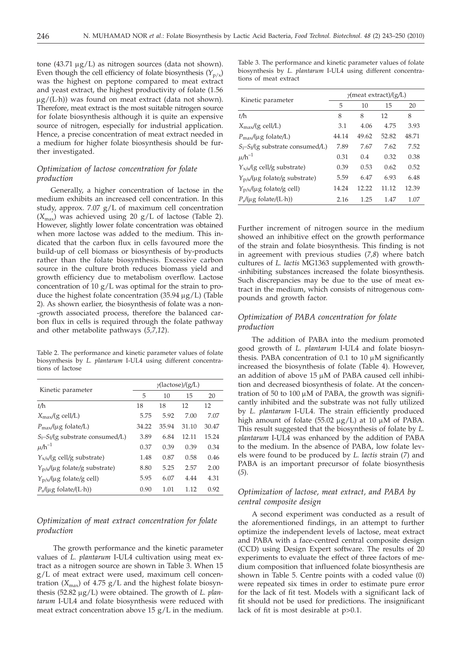tone  $(43.71 \mu g/L)$  as nitrogen sources (data not shown). Even though the cell efficiency of folate biosynthesis  $(Y_{p/x})$ was the highest on peptone compared to meat extract and yeast extract, the highest productivity of folate (1.56  $\mu$ g/(L·h)) was found on meat extract (data not shown). Therefore, meat extract is the most suitable nitrogen source for folate biosynthesis although it is quite an expensive source of nitrogen, especially for industrial application. Hence, a precise concentration of meat extract needed in a medium for higher folate biosynthesis should be further investigated.

# *Optimization of lactose concentration for folate production*

Generally, a higher concentration of lactose in the medium exhibits an increased cell concentration. In this study, approx. 7.07 g/L of maximum cell concentration  $(X_{\text{max}})$  was achieved using 20 g/L of lactose (Table 2). However, slightly lower folate concentration was obtained when more lactose was added to the medium. This indicated that the carbon flux in cells favoured more the build-up of cell biomass or biosynthesis of by-products rather than the folate biosynthesis. Excessive carbon source in the culture broth reduces biomass yield and growth efficiency due to metabolism overflow. Lactose concentration of 10  $g/L$  was optimal for the strain to produce the highest folate concentration  $(35.94 \mu g/L)$  (Table 2). As shown earlier, the biosynthesis of folate was a non- -growth associated process, therefore the balanced carbon flux in cells is required through the folate pathway and other metabolite pathways (*5,7,12*).

Table 2. The performance and kinetic parameter values of folate biosynthesis by *L. plantarum* I-UL4 using different concentrations of lactose

|                                                      | $\gamma$ (lactose)/(g/L) |       |       |       |  |  |  |
|------------------------------------------------------|--------------------------|-------|-------|-------|--|--|--|
| Kinetic parameter                                    | 5                        | 10    | 15    | 20    |  |  |  |
| t/h                                                  | 18                       | 18    | 12    | 12    |  |  |  |
| $X_{\text{max}}/(g \text{ cell/L})$                  | 5.75                     | 5.92  | 7.00  | 7.07  |  |  |  |
| $P_{\text{max}}/(\mu g \text{ folate}/L)$            | 34.22                    | 35.94 | 31.10 | 30.47 |  |  |  |
| $S_i-S_f/(g$ substrate consumed/L)                   | 3.89                     | 6.84  | 12.11 | 15.24 |  |  |  |
| $\mu/h^{-1}$                                         | 0.37                     | 0.39  | 0.39  | 0.34  |  |  |  |
| $Y_{x/s}/(g$ cell/g substrate)                       | 1.48                     | 0.87  | 0.58  | 0.46  |  |  |  |
| $Y_{p/s}/(\mu g \text{ folate/g substance})$         | 8.80                     | 5.25  | 2.57  | 2.00  |  |  |  |
| $Y_{p/x}/(\mu g \text{ folate/g cell})$              | 5.95                     | 6.07  | 4.44  | 4.31  |  |  |  |
| $P_r/(\mu g \text{ folate}/(\text{L}\cdot\text{h}))$ | 0.90                     | 1.01  | 1.12  | 0.92  |  |  |  |

# *Optimization of meat extract concentration for folate production*

The growth performance and the kinetic parameter values of *L. plantarum* I-UL4 cultivation using meat extract as a nitrogen source are shown in Table 3. When 15 g/L of meat extract were used, maximum cell concentration  $(X_{\text{max}})$  of 4.75 g/L and the highest folate biosynthesis (52.82 μg/L) were obtained. The growth of *L. plantarum* I-UL4 and folate biosynthesis were reduced with meat extract concentration above 15  $g/L$  in the medium.

Table 3. The performance and kinetic parameter values of folate biosynthesis by *L. plantarum* I-UL4 using different concentrations of meat extract

|                                                      | $\gamma$ (meat extract)/(g/L) |       |       |       |  |  |  |
|------------------------------------------------------|-------------------------------|-------|-------|-------|--|--|--|
| Kinetic parameter                                    | 5                             | 10    | 15    | 20    |  |  |  |
| t/h                                                  | 8                             | 8     | 12    | 8     |  |  |  |
| $X_{\text{max}}/(g \text{ cell/L})$                  | 3.1                           | 4.06  | 4.75  | 3.93  |  |  |  |
| $P_{\text{max}}/(\mu g \text{ folate/L})$            | 44.14                         | 49.62 | 52.82 | 48.71 |  |  |  |
| $S_i-S_f/(g$ substrate consumed/L)                   | 7.89                          | 7.67  | 7.62  | 7.52  |  |  |  |
| $\mu$ /h $^{-1}$                                     | 0.31                          | 0.4   | 0.32  | 0.38  |  |  |  |
| $Y_{x/s}/(g$ cell/g substrate)                       | 0.39                          | 0.53  | 0.62  | 0.52  |  |  |  |
| $Y_{p/s}/(\mu g \text{ folate/g substance})$         | 5.59                          | 6.47  | 6.93  | 6.48  |  |  |  |
| $Y_{p/x}/(\mu g \text{ folate/g cell})$              | 14.24                         | 12.22 | 11.12 | 12.39 |  |  |  |
| $P_r/(\mu g \text{ folate}/(\text{L}\cdot\text{h}))$ | 2.16                          | 1.25  | 1.47  | 1.07  |  |  |  |
|                                                      |                               |       |       |       |  |  |  |

Further increment of nitrogen source in the medium showed an inhibitive effect on the growth performance of the strain and folate biosynthesis. This finding is not in agreement with previous studies (*7,8*) where batch cultures of *L. lactis* MG1363 supplemented with growth- -inhibiting substances increased the folate biosynthesis. Such discrepancies may be due to the use of meat extract in the medium, which consists of nitrogenous compounds and growth factor.

# *Optimization of PABA concentration for folate production*

The addition of PABA into the medium promoted good growth of *L. plantarum* I-UL4 and folate biosynthesis. PABA concentration of 0.1 to 10  $\mu$ M significantly increased the biosynthesis of folate (Table 4). However, an addition of above  $15 \mu M$  of PABA caused cell inhibition and decreased biosynthesis of folate. At the concentration of 50 to 100  $\mu$ M of PABA, the growth was significantly inhibited and the substrate was not fully utilized by *L. plantarum* I-UL4. The strain efficiently produced high amount of folate (55.02  $\mu$ g/L) at 10  $\mu$ M of PABA. This result suggested that the biosynthesis of folate by *L. plantarum* I-UL4 was enhanced by the addition of PABA to the medium. In the absence of PABA, low folate levels were found to be produced by *L. lactis* strain (*7*) and PABA is an important precursor of folate biosynthesis (*5*).

# *Optimization of lactose, meat extract, and PABA by central composite design*

A second experiment was conducted as a result of the aforementioned findings, in an attempt to further optimize the independent levels of lactose, meat extract and PABA with a face-centred central composite design (CCD) using Design Expert software. The results of 20 experiments to evaluate the effect of three factors of medium composition that influenced folate biosynthesis are shown in Table 5. Centre points with a coded value (0) were repeated six times in order to estimate pure error for the lack of fit test. Models with a significant lack of fit should not be used for predictions. The insignificant lack of fit is most desirable at p>0.1.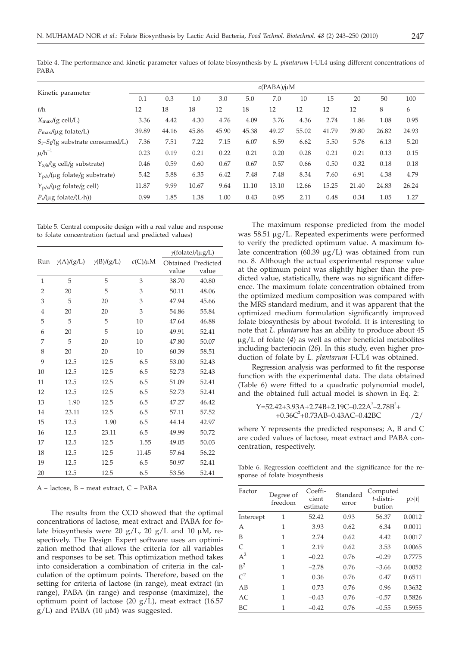|                                                      | $c(PABA)/\mu M$ |       |       |       |       |       |       |       |       |       |       |
|------------------------------------------------------|-----------------|-------|-------|-------|-------|-------|-------|-------|-------|-------|-------|
| Kinetic parameter                                    | 0.1             | 0.3   | 1.0   | 3.0   | 5.0   | 7.0   | 10    | 15    | 20    | 50    | 100   |
| $t/\hbar$                                            | 12              | 18    | 18    | 12    | 18    | 12    | 12    | 12    | 12    | 8     | 6     |
| $X_{\text{max}}/(g \text{ cell/L})$                  | 3.36            | 4.42  | 4.30  | 4.76  | 4.09  | 3.76  | 4.36  | 2.74  | 1.86  | 1.08  | 0.95  |
| $P_{\text{max}}/(\mu g \text{ folate}/L)$            | 39.89           | 44.16 | 45.86 | 45.90 | 45.38 | 49.27 | 55.02 | 41.79 | 39.80 | 26.82 | 24.93 |
| $S_i-S_f/(g$ substrate consumed/L)                   | 7.36            | 7.51  | 7.22  | 7.15  | 6.07  | 6.59  | 6.62  | 5.50  | 5.76  | 6.13  | 5.20  |
| $\mu$ /h $^{-1}$                                     | 0.23            | 0.19  | 0.21  | 0.22  | 0.21  | 0.20  | 0.28  | 0.21  | 0.21  | 0.13  | 0.15  |
| $Y_{x/s}/(g$ cell/g substrate)                       | 0.46            | 0.59  | 0.60  | 0.67  | 0.67  | 0.57  | 0.66  | 0.50  | 0.32  | 0.18  | 0.18  |
| $Y_{p/s}/(\mu g \text{ folate/g substrate})$         | 5.42            | 5.88  | 6.35  | 6.42  | 7.48  | 7.48  | 8.34  | 7.60  | 6.91  | 4.38  | 4.79  |
| $Y_{p/x}/(\mu g \text{ folate/g cell})$              | 11.87           | 9.99  | 10.67 | 9.64  | 11.10 | 13.10 | 12.66 | 15.25 | 21.40 | 24.83 | 26.24 |
| $P_r/(\mu g \text{ folate}/(\text{L}\cdot\text{h}))$ | 0.99            | 1.85  | 1.38  | 1.00  | 0.43  | 0.95  | 2.11  | 0.48  | 0.34  | 1.05  | 1.27  |

Table 4. The performance and kinetic parameter values of folate biosynthesis by *L. plantarum* I-UL4 using different concentrations of PABA

Table 5. Central composite design with a real value and response to folate concentration (actual and predicted values)

|                |                   |                   |              | $\gamma$ (folate)/(µg/L) |                    |  |  |
|----------------|-------------------|-------------------|--------------|--------------------------|--------------------|--|--|
| Run            | $\gamma(A)/(g/L)$ | $\gamma(B)/(g/L)$ | $c(C)/\mu M$ |                          | Obtained Predicted |  |  |
|                |                   |                   |              | value                    | value              |  |  |
| 1              | 5                 | 5                 | 3            | 38.70                    | 40.80              |  |  |
| $\overline{2}$ | 20                | 5                 | 3            | 50.11                    | 48.06              |  |  |
| 3              | 5                 | 20                | 3            | 47.94                    | 45.66              |  |  |
| $\overline{4}$ | 20                | 20                | 3            | 54.86                    | 55.84              |  |  |
| 5              | 5                 | 5                 | 10           | 47.64                    | 46.88              |  |  |
| 6              | 20                | 5                 | 10           | 49.91                    | 52.41              |  |  |
| 7              | 5                 | 20                | 10           | 47.80                    | 50.07              |  |  |
| 8              | 20                | 20                | 10           | 60.39                    | 58.51              |  |  |
| 9              | 12.5              | 12.5              | 6.5          | 53.00                    | 52.43              |  |  |
| 10             | 12.5              | 12.5              | 6.5          | 52.73                    | 52.43              |  |  |
| 11             | 12.5              | 12.5              | 6.5          | 51.09                    | 52.41              |  |  |
| 12             | 12.5              | 12.5              | 6.5          | 52.73                    | 52.41              |  |  |
| 13             | 1.90              | 12.5              | 6.5          | 47.27                    | 46.42              |  |  |
| 14             | 23.11             | 12.5              | 6.5          | 57.11                    | 57.52              |  |  |
| 15             | 12.5              | 1.90              | 6.5          | 44.14                    | 42.97              |  |  |
| 16             | 12.5              | 23.11             | 6.5          | 49.99                    | 50.72              |  |  |
| 17             | 12.5              | 12.5              | 1.55         | 49.05                    | 50.03              |  |  |
| 18             | 12.5              | 12.5              | 11.45        | 57.64                    | 56.22              |  |  |
| 19             | 12.5              | 12.5              | 6.5          | 50.97                    | 52.41              |  |  |
| 20             | 12.5              | 12.5              | 6.5          | 53.56                    | 52.41              |  |  |

A – lactose, B – meat extract, C – PABA

The results from the CCD showed that the optimal concentrations of lactose, meat extract and PABA for folate biosynthesis were 20  $g/L$ , 20  $g/L$  and 10  $\mu$ M, respectively. The Design Expert software uses an optimization method that allows the criteria for all variables and responses to be set. This optimization method takes into consideration a combination of criteria in the calculation of the optimum points. Therefore, based on the setting for criteria of lactose (in range), meat extract (in range), PABA (in range) and response (maximize), the optimum point of lactose (20  $g/L$ ), meat extract (16.57  $g/L$ ) and PABA (10  $\mu$ M) was suggested.

The maximum response predicted from the model was 58.51 µg/L. Repeated experiments were performed to verify the predicted optimum value. A maximum folate concentration (60.39  $\mu$ g/L) was obtained from run no. 8. Although the actual experimental response value at the optimum point was slightly higher than the predicted value, statistically, there was no significant difference. The maximum folate concentration obtained from the optimized medium composition was compared with the MRS standard medium, and it was apparent that the optimized medium formulation significantly improved folate biosynthesis by about twofold. It is interesting to note that *L. plantarum* has an ability to produce about 45  $\mu$ g/L of folate (4) as well as other beneficial metabolites including bacteriocin (*26*). In this study, even higher production of folate by *L. plantarum* I-UL4 was obtained.

Regression analysis was performed to fit the response function with the experimental data. The data obtained (Table 6) were fitted to a quadratic polynomial model, and the obtained full actual model is shown in Eq. 2:

$$
Y=52.42+3.93A+2.74B+2.19C-0.22A^2-2.78B^2+\n+0.36C^2+0.73AB-0.43AC-0.42BC
$$

where Y represents the predicted responses; A, B and C are coded values of lactose, meat extract and PABA concentration, respectively.

Table 6. Regression coefficient and the significance for the response of folate biosynthesis

| Factor         | Degree of<br>freedom | Coeffi-<br>cient<br>estimate | Standard<br>error | Computed<br>t-distri-<br>bution | p> t   |
|----------------|----------------------|------------------------------|-------------------|---------------------------------|--------|
| Intercept      | 1                    | 52.42                        | 0.93              | 56.37                           | 0.0012 |
| A              | 1                    | 3.93                         | 0.62              | 6.34                            | 0.0011 |
| B              | 1                    | 2.74                         | 0.62              | 4.42                            | 0.0017 |
| $\mathcal{C}$  | 1                    | 2.19                         | 0.62              | 3.53                            | 0.0065 |
| $A^2$          | 1                    | $-0.22$                      | 0.76              | $-0.29$                         | 0.7775 |
| B <sup>2</sup> | 1                    | $-2.78$                      | 0.76              | $-3.66$                         | 0.0052 |
| $C^2$          | 1                    | 0.36                         | 0.76              | 0.47                            | 0.6511 |
| AB             | 1                    | 0.73                         | 0.76              | 0.96                            | 0.3632 |
| AC             | 1                    | $-0.43$                      | 0.76              | $-0.57$                         | 0.5826 |
| BC             | 1                    | $-0.42$                      | 0.76              | $-0.55$                         | 0.5955 |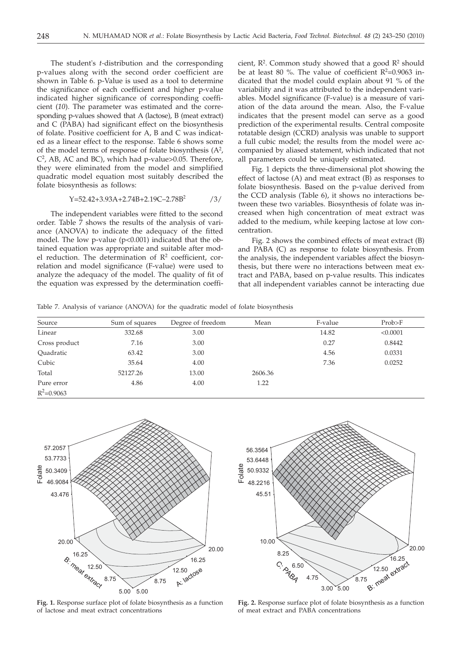The student's *t-*distribution and the corresponding p-values along with the second order coefficient are shown in Table 6. p-Value is used as a tool to determine the significance of each coefficient and higher p-value indicated higher significance of corresponding coefficient (*10*). The parameter was estimated and the corresponding p-values showed that A (lactose), B (meat extract) and C (PABA) had significant effect on the biosynthesis of folate. Positive coefficient for A, B and C was indicated as a linear effect to the response. Table 6 shows some of the model terms of response of folate biosynthesis  $(A^2,$  $C<sup>2</sup>$ , AB, AC and BC), which had p-value>0.05. Therefore, they were eliminated from the model and simplified quadratic model equation most suitably described the folate biosynthesis as follows:

$$
Y = 52.42 + 3.93A + 2.74B + 2.19C - 2.78B^2
$$

The independent variables were fitted to the second order. Table 7 shows the results of the analysis of variance (ANOVA) to indicate the adequacy of the fitted model. The low p-value (p<0.001) indicated that the obtained equation was appropriate and suitable after model reduction. The determination of  $\mathbb{R}^2$  coefficient, correlation and model significance (F-value) were used to analyze the adequacy of the model. The quality of fit of the equation was expressed by the determination coefficient,  $R^2$ . Common study showed that a good  $R^2$  should be at least 80 %. The value of coefficient  $R^2$ =0.9063 indicated that the model could explain about 91 % of the variability and it was attributed to the independent variables. Model significance (F-value) is a measure of variation of the data around the mean. Also, the F-value indicates that the present model can serve as a good prediction of the experimental results. Central composite rotatable design (CCRD) analysis was unable to support a full cubic model; the results from the model were accompanied by aliased statement, which indicated that not all parameters could be uniquely estimated.

Fig. 1 depicts the three-dimensional plot showing the effect of lactose (A) and meat extract (B) as responses to folate biosynthesis. Based on the p-value derived from the CCD analysis (Table 6), it shows no interactions between these two variables. Biosynthesis of folate was increased when high concentration of meat extract was added to the medium, while keeping lactose at low concentration.

Fig. 2 shows the combined effects of meat extract (B) and PABA (C) as response to folate biosynthesis. From the analysis, the independent variables affect the biosynthesis, but there were no interactions between meat extract and PABA, based on p-value results. This indicates that all independent variables cannot be interacting due

Table 7. Analysis of variance (ANOVA) for the quadratic model of folate biosynthesis

| Source        | Sum of squares | Degree of freedom | Mean    | F-value | Prob>F   |
|---------------|----------------|-------------------|---------|---------|----------|
| Linear        | 332.68         | 3.00              |         | 14.82   | < 0.0001 |
| Cross product | 7.16           | 3.00              |         | 0.27    | 0.8442   |
| Ouadratic     | 63.42          | 3.00              |         | 4.56    | 0.0331   |
| Cubic         | 35.64          | 4.00              |         | 7.36    | 0.0252   |
| Total         | 52127.26       | 13.00             | 2606.36 |         |          |
| Pure error    | 4.86           | 4.00              | 1.22    |         |          |
| $R^2$ =0.9063 |                |                   |         |         |          |



**Fig. 1.** Response surface plot of folate biosynthesis as a function of lactose and meat extract concentrations



**Fig. 2.** Response surface plot of folate biosynthesis as a function of meat extract and PABA concentrations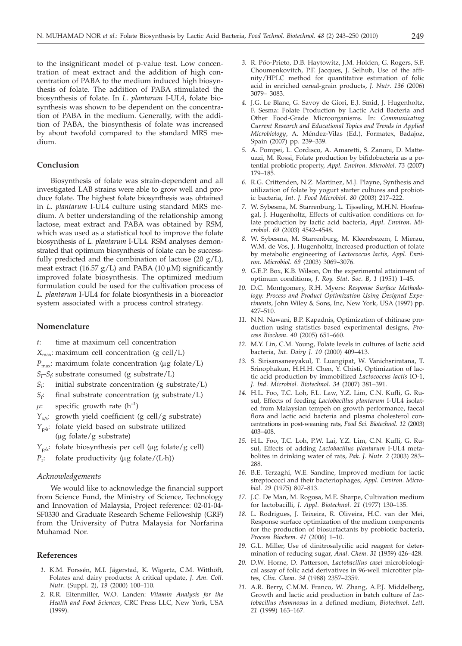to the insignificant model of p-value test. Low concentration of meat extract and the addition of high concentration of PABA to the medium induced high biosynthesis of folate. The addition of PABA stimulated the biosynthesis of folate. In *L. plantarum* I-UL4, folate biosynthesis was shown to be dependent on the concentration of PABA in the medium. Generally, with the addition of PABA, the biosynthesis of folate was increased by about twofold compared to the standard MRS medium.

#### **Conclusion**

Biosynthesis of folate was strain-dependent and all investigated LAB strains were able to grow well and produce folate. The highest folate biosynthesis was obtained in *L. plantarum* I-UL4 culture using standard MRS medium. A better understanding of the relationship among lactose, meat extract and PABA was obtained by RSM, which was used as a statistical tool to improve the folate biosynthesis of *L. plantarum* I-UL4. RSM analyses demonstrated that optimum biosynthesis of folate can be successfully predicted and the combination of lactose  $(20 g/L)$ , meat extract (16.57  $g/L$ ) and PABA (10  $\mu$ M) significantly improved folate biosynthesis. The optimized medium formulation could be used for the cultivation process of *L. plantarum* I-UL4 for folate biosynthesis in a bioreactor system associated with a process control strategy.

## **Nomenclature**

- *t*: time at maximum cell concentration
- $X_{\text{max}}$ : maximum cell concentration (g cell/L)
- $P_{\text{max}}$ : maximum folate concentration ( $\mu$ g folate/L)
- *S*i *–S*f: substrate consumed (g substrate/L)
- *S*i : initial substrate concentration (g substrate/L)
- $S_f$ : final substrate concentration (g substrate/L)
- $\mu$ : specific growth rate (h<sup>-1</sup>)
- *Y*x*/*s: growth yield coefficient (g cell/g substrate)
- *Y*<sub>p/s</sub>: folate yield based on substrate utilized  $(\mu g \,$  folate/g substrate)
- $Y_{p/x}$ : folate biosynthesis per cell (µg folate/g cell)
- $P_r$ : folate productivity ( $\mu$ g folate/(L·h))

# *Acknowledgements*

We would like to acknowledge the financial support from Science Fund, the Ministry of Science, Technology and Innovation of Malaysia, Project reference: 02-01-04- SF0330 and Graduate Research Scheme Fellowship (GRF) from the University of Putra Malaysia for Norfarina Muhamad Nor.

# **References**

- *1.* K.M. Forssén, M.I. Jägerstad, K. Wigertz, C.M. Witthöft, Folates and dairy products: A critical update, *J*. *Am*. *Coll*. *Nutr*. (Suppl. 2), *19* (2000) 100–110.
- *2.* R.R. Eitenmiller, W.O. Landen: *Vitamin Analysis for the Health and Food Sciences*, CRC Press LLC, New York, USA (1999).
- *3.* R. Póo-Prieto, D.B. Haytowitz, J.M. Holden, G. Rogers, S.F. Choumenkovitch, P.F. Jacques, J. Selhub, Use of the affinity/HPLC method for quantitative estimation of folic acid in enriched cereal-grain products, *J*. *Nutr*. *136* (2006) 3079– 3083.
- *4.* J.G. Le Blanc, G. Savoy de Giori, E.J. Smid, J. Hugenholtz, F. Sesma: Folate Production by Lactic Acid Bacteria and Other Food-Grade Microorganisms. In: *Communicating Current Research and Educational Topics and Trends in Applied Microbiology*, A. Méndez-Vilas (Ed.), Formatex, Badajoz, Spain (2007) pp. 239–339.
- *5.* A. Pompei, L. Cordisco, A. Amaretti, S. Zanoni, D. Matteuzzi, M. Rossi, Folate production by bifidobacteria as a potential probiotic property, *Appl*. *Environ*. *Microbiol*. *73* (2007) 179–185.
- *6.* R.G. Crittenden, N.Z. Martinez, M.J. Playne, Synthesis and utilization of folate by yogurt starter cultures and probiotic bacteria, *Int*. *J*. *Food Microbiol*. *80* (2003) 217–222.
- *7.* W. Sybesma, M. Starrenburg, L. Tijsseling, M.H.N. Hoefnagal, J. Hugenholtz, Effects of cultivation conditions on folate production by lactic acid bacteria, *Appl*. *Environ*. *Microbiol*. *69* (2003) 4542–4548.
- *8.* W. Sybesma, M. Starrenburg, M. Kleerebezem, I. Mierau, W.M. de Vos, J. Hugenholtz, Increased production of folate by metabolic engineering of *Lactococcus lactis*, *Appl*. *Environ*. *Microbiol*. *69* (2003) 3069–3076.
- *9.* G.E.P. Box, K.B. Wilson, On the experimental attainment of optimum conditions, *J*. *Roy. Stat*. *Soc*. *B*, *1* (1951) 1–45.
- *10.* D.C. Montgomery, R.H. Myers: *Response Surface Methodology: Process and Product Optimization Using Designed Experiments*, John Wiley & Sons, Inc, New York, USA (1997) pp. 427–510.
- *11.* N.N. Nawani, B.P. Kapadnis, Optimization of chitinase production using statistics based experimental designs, *Process Biochem*. *40* (2005) 651–660.
- *12.* M.Y. Lin, C.M. Young, Folate levels in cultures of lactic acid bacteria, *Int*. *Dairy J*. *10* (2000) 409–413.
- *13.* S. Sirisansaneeyakul, T. Luangipat, W. Vanichsriratana, T. Srinophakun, H.H.H. Chen, Y. Chisti, Optimization of lactic acid production by immobilized *Lactococcus lactis* IO-1, *J*. *Ind*. *Microbiol*. *Biotechnol*. *34* (2007) 381–391.
- *14.* H.L. Foo, T.C. Loh, F.L. Law, Y.Z. Lim, C.N. Kufli, G. Rusul, Effects of feeding *Lactobacillus plantarum* I-UL4 isolated from Malaysian tempeh on growth performance, faecal flora and lactic acid bacteria and plasma cholesterol concentrations in post-weaning rats, *Food Sci*. *Biotechnol*. *12* (2003) 403–408.
- *15.* H.L. Foo, T.C. Loh, P.W. Lai, Y.Z. Lim, C.N. Kufli, G. Rusul, Effects of adding *Lactobacillus plantarum* I-UL4 metabolites in drinking water of rats, *Pak. J*. *Nutr*. *2* (2003) 283– 288.
- *16.* B.E. Terzaghi, W.E. Sandine, Improved medium for lactic streptococci and their bacteriophages, *Appl*. *Environ. Microbiol*. *29* (1975) 807–813.
- *17.* J.C. De Man, M. Rogosa, M.E. Sharpe, Cultivation medium for lactobacilli, *J*. *Appl*. *Biotechnol*. *21* (1977) 130–135.
- *18.* L. Rodrigues, J. Teixeira, R. Oliveira, H.C. van der Mei, Response surface optimization of the medium components for the production of biosurfactants by probiotic bacteria, *Process Biochem*. *41* (2006) 1–10.
- *19.* G.L. Miller, Use of dinitrosalycilic acid reagent for determination of reducing sugar, *Anal*. *Chem*. *31* (1959) 426–428.
- *20.* D.W. Horne, D. Patterson, *Lactobacillus casei* microbiological assay of folic acid derivatives in 96-well microtiter plates, *Clin*. *Chem*. *34* (1988) 2357–2359.
- *21.* A.R. Berry, C.M.M. Franco, W. Zhang, A.P.J. Middelberg, Growth and lactic acid production in batch culture of *Lactobacillus rhamnosus* in a defined medium, *Biotechnol*. *Lett*. *21* (1999) 163–167.